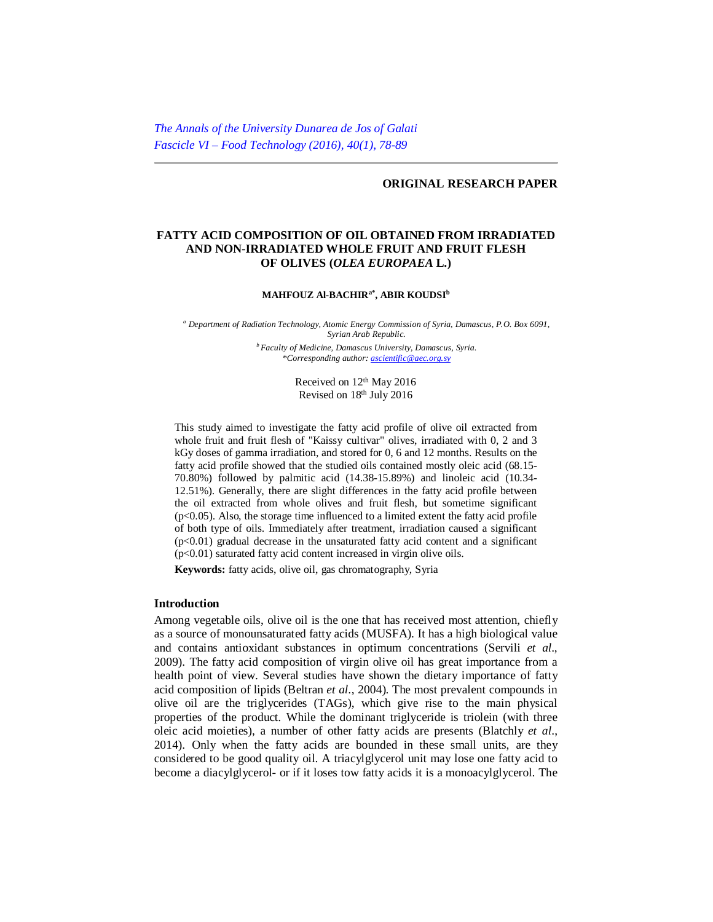# **ORIGINAL RESEARCH PAPER**

# **FATTY ACID COMPOSITION OF OIL OBTAINED FROM IRRADIATED AND NON-IRRADIATED WHOLE FRUIT AND FRUIT FLESH OF OLIVES (***OLEA EUROPAEA* **L.)**

#### **MAHFOUZ Al-BACHIRa\* , ABIR KOUDSI<sup>b</sup>**

*<sup>a</sup> Department of Radiation Technology, Atomic Energy Commission of Syria, Damascus, P.O. Box 6091, Syrian Arab Republic.* 

*<sup>b</sup> Faculty of Medicine, Damascus University, Damascus, Syria. \*Corresponding author: [ascientific@aec.org.sy](mailto:ascientific@aec.org.sy)*

> Received on  $12<sup>th</sup>$  May 2016 Revised on 18th July 2016

This study aimed to investigate the fatty acid profile of olive oil extracted from whole fruit and fruit flesh of "Kaissy cultivar" olives, irradiated with 0, 2 and 3 kGy doses of gamma irradiation, and stored for 0, 6 and 12 months. Results on the fatty acid profile showed that the studied oils contained mostly oleic acid (68.15- 70.80%) followed by palmitic acid (14.38-15.89%) and linoleic acid (10.34- 12.51%). Generally, there are slight differences in the fatty acid profile between the oil extracted from whole olives and fruit flesh, but sometime significant  $(p<0.05)$ . Also, the storage time influenced to a limited extent the fatty acid profile of both type of oils. Immediately after treatment, irradiation caused a significant  $(p<0.01)$  gradual decrease in the unsaturated fatty acid content and a significant  $(p<0.01)$  saturated fatty acid content increased in virgin olive oils.

**Keywords:** fatty acids, olive oil, gas chromatography, Syria

# **Introduction**

Among vegetable oils, olive oil is the one that has received most attention, chiefly as a source of monounsaturated fatty acids (MUSFA). It has a high biological value and contains antioxidant substances in optimum concentrations (Servili *et al*., 2009). The fatty acid composition of virgin olive oil has great importance from a health point of view. Several studies have shown the dietary importance of fatty acid composition of lipids (Beltran *et al*., 2004). The most prevalent compounds in olive oil are the triglycerides (TAGs), which give rise to the main physical properties of the product. While the dominant triglyceride is triolein (with three oleic acid moieties), a number of other fatty acids are presents (Blatchly *et al*., 2014). Only when the fatty acids are bounded in these small units, are they considered to be good quality oil. A triacylglycerol unit may lose one fatty acid to become a diacylglycerol- or if it loses tow fatty acids it is a monoacylglycerol. The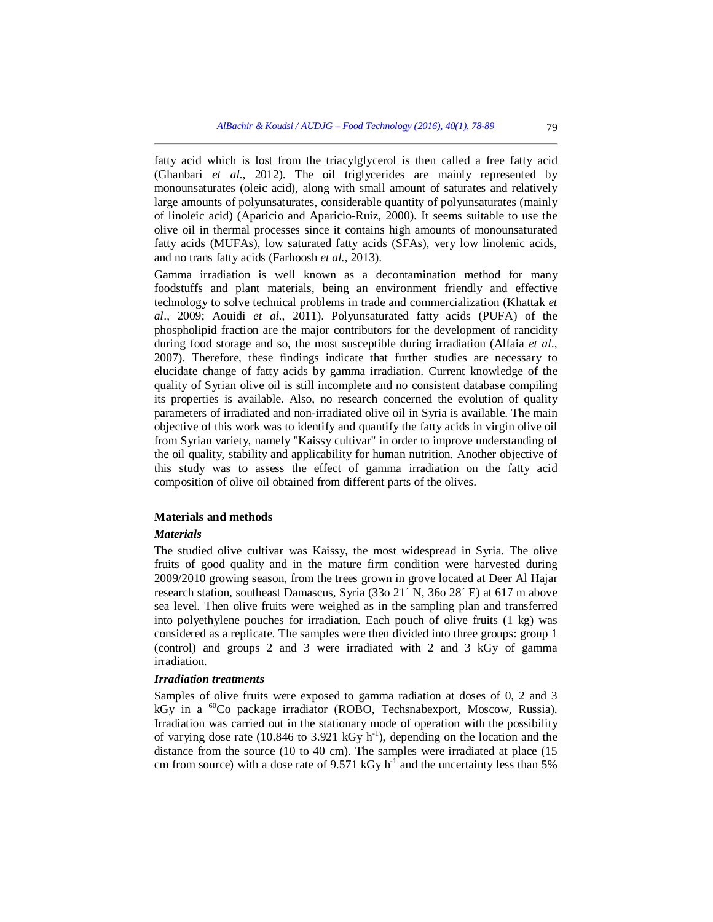fatty acid which is lost from the triacylglycerol is then called a free fatty acid (Ghanbari *et al*., 2012). The oil triglycerides are mainly represented by monounsaturates (oleic acid), along with small amount of saturates and relatively large amounts of polyunsaturates, considerable quantity of polyunsaturates (mainly of linoleic acid) (Aparicio and Aparicio-Ruiz, 2000). It seems suitable to use the olive oil in thermal processes since it contains high amounts of monounsaturated fatty acids (MUFAs), low saturated fatty acids (SFAs), very low linolenic acids, and no trans fatty acids (Farhoosh *et al.*, 2013).

Gamma irradiation is well known as a decontamination method for many foodstuffs and plant materials, being an environment friendly and effective technology to solve technical problems in trade and commercialization (Khattak *et al*., 2009; Aouidi *et al.*, 2011). Polyunsaturated fatty acids (PUFA) of the phospholipid fraction are the major contributors for the development of rancidity during food storage and so, the most susceptible during irradiation (Alfaia *et al*., 2007). Therefore, these findings indicate that further studies are necessary to elucidate change of fatty acids by gamma irradiation. Current knowledge of the quality of Syrian olive oil is still incomplete and no consistent database compiling its properties is available. Also, no research concerned the evolution of quality parameters of irradiated and non-irradiated olive oil in Syria is available. The main objective of this work was to identify and quantify the fatty acids in virgin olive oil from Syrian variety, namely "Kaissy cultivar" in order to improve understanding of the oil quality, stability and applicability for human nutrition. Another objective of this study was to assess the effect of gamma irradiation on the fatty acid composition of olive oil obtained from different parts of the olives.

# **Materials and methods**

#### *Materials*

The studied olive cultivar was Kaissy, the most widespread in Syria. The olive fruits of good quality and in the mature firm condition were harvested during 2009/2010 growing season, from the trees grown in grove located at Deer Al Hajar research station, southeast Damascus, Syria (33o 21´ N, 36o 28´ E) at 617 m above sea level. Then olive fruits were weighed as in the sampling plan and transferred into polyethylene pouches for irradiation. Each pouch of olive fruits (1 kg) was considered as a replicate. The samples were then divided into three groups: group 1 (control) and groups 2 and 3 were irradiated with 2 and 3 kGy of gamma irradiation.

# *Irradiation treatments*

Samples of olive fruits were exposed to gamma radiation at doses of 0, 2 and 3 kGy in a  ${}^{60}$ Co package irradiator (ROBO, Techsnabexport, Moscow, Russia). Irradiation was carried out in the stationary mode of operation with the possibility of varying dose rate (10.846 to 3.921 kGy  $h^{-1}$ ), depending on the location and the distance from the source (10 to 40 cm). The samples were irradiated at place (15 cm from source) with a dose rate of  $9.571 \text{ kGy h}^{-1}$  and the uncertainty less than 5%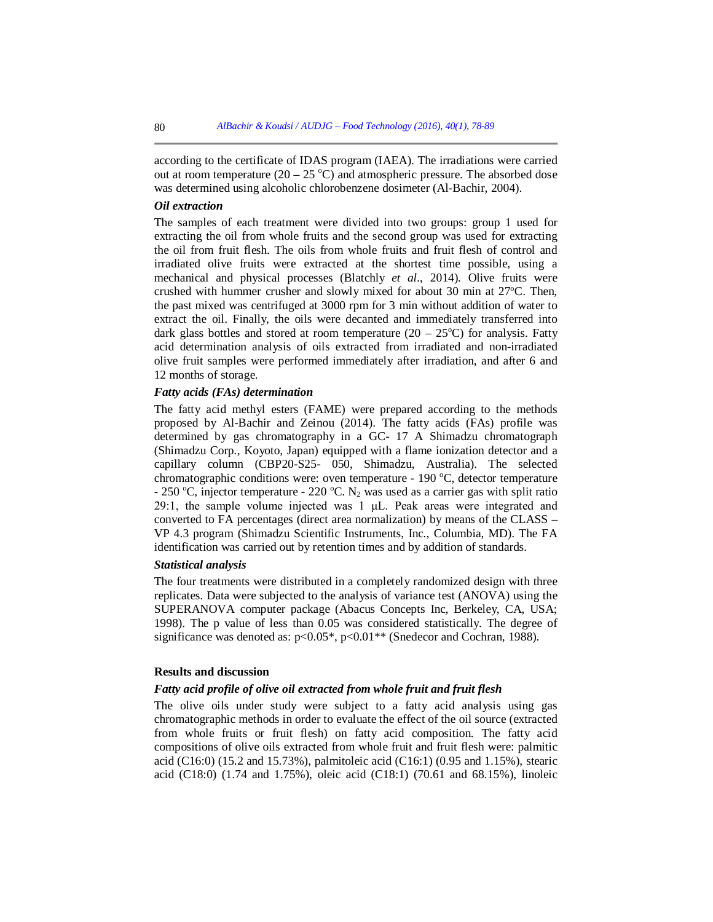according to the certificate of IDAS program (IAEA). The irradiations were carried out at room temperature  $(20 - 25 \degree C)$  and atmospheric pressure. The absorbed dose was determined using alcoholic chlorobenzene dosimeter (Al-Bachir, 2004).

#### *Oil extraction*

The samples of each treatment were divided into two groups: group 1 used for extracting the oil from whole fruits and the second group was used for extracting the oil from fruit flesh. The oils from whole fruits and fruit flesh of control and irradiated olive fruits were extracted at the shortest time possible, using a mechanical and physical processes (Blatchly *et al.*, 2014). Olive fruits were crushed with hummer crusher and slowly mixed for about 30 min at  $27^{\circ}$ C. Then, the past mixed was centrifuged at 3000 rpm for 3 min without addition of water to extract the oil. Finally, the oils were decanted and immediately transferred into dark glass bottles and stored at room temperature  $(20 - 25^{\circ}\text{C})$  for analysis. Fatty acid determination analysis of oils extracted from irradiated and non-irradiated olive fruit samples were performed immediately after irradiation, and after 6 and 12 months of storage.

## *Fatty acids (FAs) determination*

The fatty acid methyl esters (FAME) were prepared according to the methods proposed by Al-Bachir and Zeinou (2014). The fatty acids (FAs) profile was determined by gas chromatography in a GC- 17 A Shimadzu chromatograph (Shimadzu Corp., Koyoto, Japan) equipped with a flame ionization detector and a capillary column (CBP20-S25- 050, Shimadzu, Australia). The selected chromatographic conditions were: oven temperature -  $190 \degree C$ , detector temperature - 250 °C, injector temperature - 220 °C. N<sub>2</sub> was used as a carrier gas with split ratio 29:1, the sample volume injected was 1 μL. Peak areas were integrated and converted to FA percentages (direct area normalization) by means of the CLASS – VP 4.3 program (Shimadzu Scientific Instruments, Inc., Columbia, MD). The FA identification was carried out by retention times and by addition of standards.

### *Statistical analysis*

The four treatments were distributed in a completely randomized design with three replicates. Data were subjected to the analysis of variance test (ANOVA) using the SUPERANOVA computer package (Abacus Concepts Inc, Berkeley, CA, USA; 1998). The p value of less than 0.05 was considered statistically. The degree of significance was denoted as:  $p<0.05^*$ ,  $p<0.01^{**}$  (Snedecor and Cochran, 1988).

## **Results and discussion**

### *Fatty acid profile of olive oil extracted from whole fruit and fruit flesh*

The olive oils under study were subject to a fatty acid analysis using gas chromatographic methods in order to evaluate the effect of the oil source (extracted from whole fruits or fruit flesh) on fatty acid composition. The fatty acid compositions of olive oils extracted from whole fruit and fruit flesh were: palmitic acid (C16:0) (15.2 and 15.73%), palmitoleic acid (C16:1) (0.95 and 1.15%), stearic acid (C18:0) (1.74 and 1.75%), oleic acid (C18:1) (70.61 and 68.15%), linoleic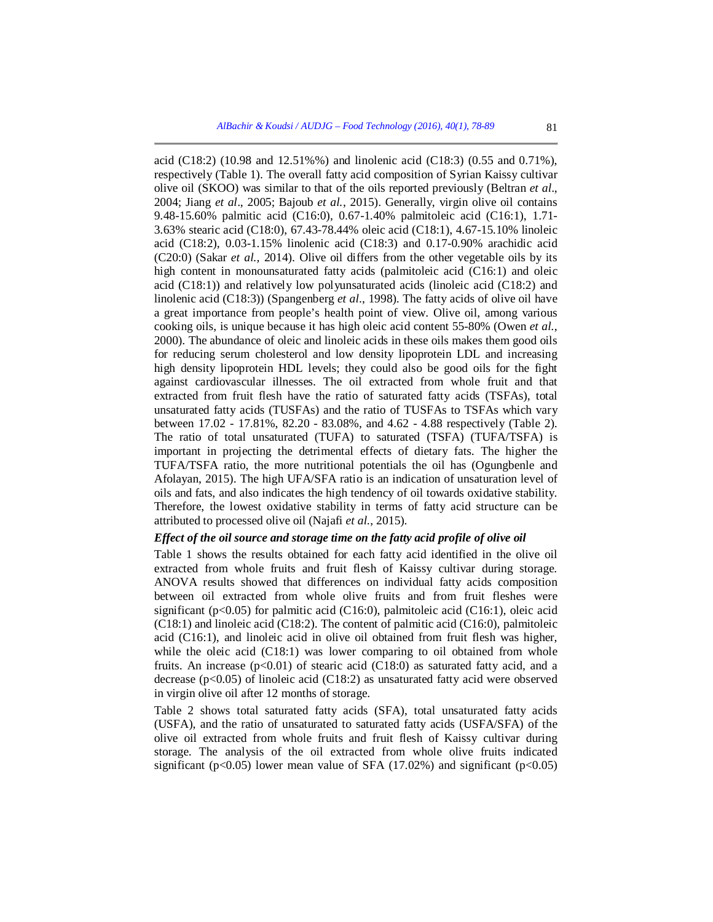acid (C18:2) (10.98 and 12.51%%) and linolenic acid (C18:3) (0.55 and 0.71%), respectively (Table 1). The overall fatty acid composition of Syrian Kaissy cultivar olive oil (SKOO) was similar to that of the oils reported previously (Beltran *et al*., 2004; Jiang *et al*., 2005; Bajoub *et al.*, 2015). Generally, virgin olive oil contains 9.48-15.60% palmitic acid (C16:0), 0.67-1.40% palmitoleic acid (C16:1), 1.71- 3.63% stearic acid (C18:0), 67.43-78.44% oleic acid (C18:1), 4.67-15.10% linoleic acid (C18:2), 0.03-1.15% linolenic acid (C18:3) and 0.17-0.90% arachidic acid (C20:0) (Sakar *et al.,* 2014). Olive oil differs from the other vegetable oils by its high content in monounsaturated fatty acids (palmitoleic acid (C16:1) and oleic acid (C18:1)) and relatively low polyunsaturated acids (linoleic acid (C18:2) and linolenic acid (C18:3)) (Spangenberg *et al*., 1998). The fatty acids of olive oil have a great importance from people's health point of view. Olive oil, among various cooking oils, is unique because it has high oleic acid content 55-80% (Owen *et al.*, 2000). The abundance of oleic and linoleic acids in these oils makes them good oils for reducing serum cholesterol and low density lipoprotein LDL and increasing high density lipoprotein HDL levels; they could also be good oils for the fight against cardiovascular illnesses. The oil extracted from whole fruit and that extracted from fruit flesh have the ratio of saturated fatty acids (TSFAs), total unsaturated fatty acids (TUSFAs) and the ratio of TUSFAs to TSFAs which vary between 17.02 - 17.81%, 82.20 - 83.08%, and 4.62 - 4.88 respectively (Table 2). The ratio of total unsaturated (TUFA) to saturated (TSFA) (TUFA/TSFA) is important in projecting the detrimental effects of dietary fats. The higher the TUFA/TSFA ratio, the more nutritional potentials the oil has (Ogungbenle and Afolayan, 2015). The high UFA/SFA ratio is an indication of unsaturation level of oils and fats, and also indicates the high tendency of oil towards oxidative stability. Therefore, the lowest oxidative stability in terms of fatty acid structure can be attributed to processed olive oil (Najafi *et al.*, 2015).

# *Effect of the oil source and storage time on the fatty acid profile of olive oil*

Table 1 shows the results obtained for each fatty acid identified in the olive oil extracted from whole fruits and fruit flesh of Kaissy cultivar during storage. ANOVA results showed that differences on individual fatty acids composition between oil extracted from whole olive fruits and from fruit fleshes were significant ( $p<0.05$ ) for palmitic acid (C16:0), palmitoleic acid (C16:1), oleic acid (C18:1) and linoleic acid (C18:2). The content of palmitic acid (C16:0), palmitoleic acid (C16:1), and linoleic acid in olive oil obtained from fruit flesh was higher, while the oleic acid (C18:1) was lower comparing to oil obtained from whole fruits. An increase  $(p<0.01)$  of stearic acid (C18:0) as saturated fatty acid, and a decrease  $(p<0.05)$  of linoleic acid (C18:2) as unsaturated fatty acid were observed in virgin olive oil after 12 months of storage.

Table 2 shows total saturated fatty acids (SFA), total unsaturated fatty acids (USFA), and the ratio of unsaturated to saturated fatty acids (USFA/SFA) of the olive oil extracted from whole fruits and fruit flesh of Kaissy cultivar during storage. The analysis of the oil extracted from whole olive fruits indicated significant ( $p<0.05$ ) lower mean value of SFA (17.02%) and significant ( $p<0.05$ )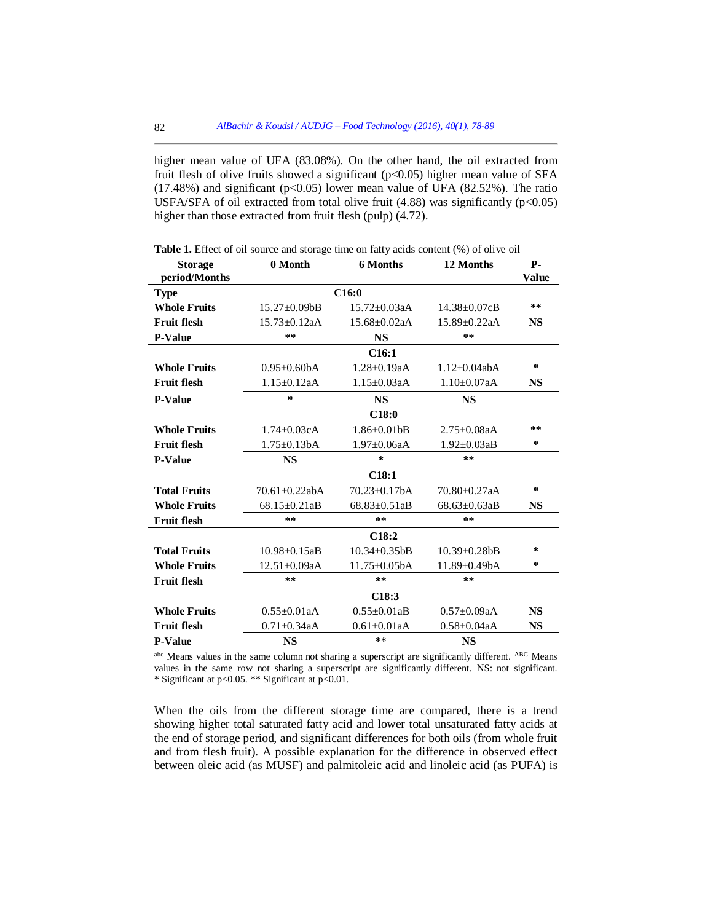higher mean value of UFA (83.08%). On the other hand, the oil extracted from fruit flesh of olive fruits showed a significant ( $p<0.05$ ) higher mean value of SFA (17.48%) and significant ( $p<0.05$ ) lower mean value of UFA (82.52%). The ratio USFA/SFA of oil extracted from total olive fruit  $(4.88)$  was significantly ( $p<0.05$ ) higher than those extracted from fruit flesh (pulp) (4.72).

| <b>Storage</b>      | 0 Month              | <b>6 Months</b>               | 12 Months           | <b>P-</b>    |  |  |
|---------------------|----------------------|-------------------------------|---------------------|--------------|--|--|
| period/Months       |                      |                               |                     | <b>Value</b> |  |  |
| <b>Type</b>         | C16:0                |                               |                     |              |  |  |
| <b>Whole Fruits</b> | $15.27 \pm 0.09$ bB  | $15.72 \pm 0.03$ aA           | $14.38 \pm 0.07$ cB | **           |  |  |
| <b>Fruit flesh</b>  | $15.73 \pm 0.12$ aA  | $15.68 \pm 0.02$ aA           | 15.89±0.22aA        | <b>NS</b>    |  |  |
| <b>P-Value</b>      | $* *$                | <b>NS</b>                     | **                  |              |  |  |
|                     |                      | C16:1                         |                     |              |  |  |
| <b>Whole Fruits</b> | $0.95 \pm 0.60$ bA   | $1.28 + 0.19aA$               | $1.12 + 0.04$ abA   | $\ast$       |  |  |
| <b>Fruit flesh</b>  | $1.15 \pm 0.12$ aA   | $1.15 \pm 0.03$ aA            | $1.10 \pm 0.07$ aA  | <b>NS</b>    |  |  |
| <b>P-Value</b>      | $\star$              | <b>NS</b>                     | <b>NS</b>           |              |  |  |
|                     |                      | C18:0                         |                     |              |  |  |
| <b>Whole Fruits</b> | $1.74 \pm 0.03c$ A   | $1.86 + 0.01$ <sub>b</sub> B  | $2.75 \pm 0.08$ aA  | **           |  |  |
| <b>Fruit flesh</b>  | $1.75 \pm 0.13bA$    | $1.97 \pm 0.06$ aA            | $1.92 \pm 0.03$ aB  | $\ast$       |  |  |
| <b>P-Value</b>      | <b>NS</b>            | $\ast$                        | **                  |              |  |  |
|                     | C18:1                |                               |                     |              |  |  |
| <b>Total Fruits</b> | $70.61 \pm 0.22$ abA | $70.23 \pm 0.17$ bA           | 70.80±0.27aA        | $\ast$       |  |  |
| <b>Whole Fruits</b> | $68.15 \pm 0.21$ aB  | $68.83 \pm 0.51$ aB           | $68.63 \pm 0.63$ aB | <b>NS</b>    |  |  |
| <b>Fruit flesh</b>  | **                   | **                            | **                  |              |  |  |
|                     | C18:2                |                               |                     |              |  |  |
| <b>Total Fruits</b> | $10.98 + 0.15aB$     | $10.34 + 0.35$ <sub>b</sub> B | $10.39 \pm 0.28$ bB | ∗            |  |  |
| <b>Whole Fruits</b> | $12.51 \pm 0.09aA$   | $11.75 \pm 0.05$ bA           | $11.89 \pm 0.49$ bA | $\ast$       |  |  |
| <b>Fruit flesh</b>  | $* *$                | **                            | **                  |              |  |  |
|                     | C18:3                |                               |                     |              |  |  |
| <b>Whole Fruits</b> | $0.55 + 0.01aA$      | $0.55 + 0.01aB$               | $0.57 + 0.09aA$     | NS.          |  |  |
| <b>Fruit flesh</b>  | $0.71 + 0.34$ aA     | $0.61 \pm 0.01$ aA            | $0.58 \pm 0.04$ aA  | <b>NS</b>    |  |  |
| <b>P-Value</b>      | <b>NS</b>            | **                            | <b>NS</b>           |              |  |  |

**Table 1.** Effect of oil source and storage time on fatty acids content (%) of olive oil

abc Means values in the same column not sharing a superscript are significantly different. ABC Means values in the same row not sharing a superscript are significantly different. NS: not significant. \* Significant at p<0.05. \*\* Significant at p<0.01.

When the oils from the different storage time are compared, there is a trend showing higher total saturated fatty acid and lower total unsaturated fatty acids at the end of storage period, and significant differences for both oils (from whole fruit and from flesh fruit). A possible explanation for the difference in observed effect between oleic acid (as MUSF) and palmitoleic acid and linoleic acid (as PUFA) is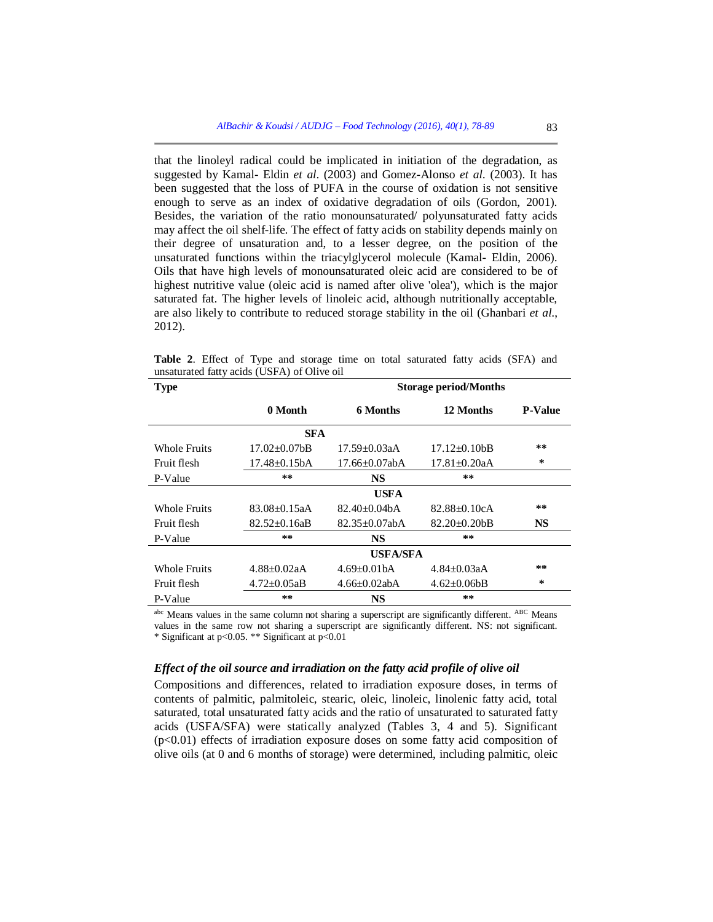that the linoleyl radical could be implicated in initiation of the degradation, as suggested by Kamal- Eldin *et al*. (2003) and Gomez-Alonso *et al.* (2003). It has been suggested that the loss of PUFA in the course of oxidation is not sensitive enough to serve as an index of oxidative degradation of oils (Gordon, 2001). Besides, the variation of the ratio monounsaturated/ polyunsaturated fatty acids may affect the oil shelf-life. The effect of fatty acids on stability depends mainly on their degree of unsaturation and, to a lesser degree, on the position of the unsaturated functions within the triacylglycerol molecule (Kamal- Eldin, 2006). Oils that have high levels of monounsaturated oleic acid are considered to be of highest nutritive value (oleic acid is named after olive 'olea'), which is the major saturated fat. The higher levels of linoleic acid, although nutritionally acceptable, are also likely to contribute to reduced storage stability in the oil (Ghanbari *et al*., 2012).

| <b>Type</b>         | <b>Storage period/Months</b> |                      |                    |                |  |
|---------------------|------------------------------|----------------------|--------------------|----------------|--|
|                     | 0 Month                      | <b>6 Months</b>      | 12 Months          | <b>P-Value</b> |  |
|                     | <b>SFA</b>                   |                      |                    |                |  |
| <b>Whole Fruits</b> | $17.02 + 0.07$ bB            | $17.59 + 0.03aA$     | $17.12\pm0.10bB$   | **             |  |
| Fruit flesh         | $17.48 \pm 0.15bA$           | $17.66 \pm 0.07$ abA | $17.81 + 0.20aA$   | $\ast$         |  |
| P-Value             | $* *$                        | <b>NS</b>            | **                 |                |  |
|                     |                              | <b>USFA</b>          |                    |                |  |
| <b>Whole Fruits</b> | $83.08 \pm 0.15$ aA          | $82.40 + 0.04bA$     | $82.88 + 0.10cA$   | **             |  |
| Fruit flesh         | $82.52 \pm 0.16$ aB          | $82.35 \pm 0.07$ abA | $82.20 \pm 0.20$   | <b>NS</b>      |  |
| P-Value             | $* *$                        | NS                   | **                 |                |  |
|                     | <b>USFA/SFA</b>              |                      |                    |                |  |
| <b>Whole Fruits</b> | $4.88 \pm 0.02$ aA           | $4.69 \pm 0.01$ bA   | $4.84 \pm 0.03$ aA | **             |  |
| Fruit flesh         | $4.72 \pm 0.05$ aB           | $4.66 \pm 0.02$ abA  | $4.62 \pm 0.06$    | $\ast$         |  |
| P-Value             | $* *$                        | <b>NS</b>            | **                 |                |  |

**Table 2**. Effect of Type and storage time on total saturated fatty acids (SFA) and unsaturated fatty acids (USFA) of Olive oil

abc Means values in the same column not sharing a superscript are significantly different. ABC Means values in the same row not sharing a superscript are significantly different. NS: not significant. \* Significant at p<0.05. \*\* Significant at p<0.01

# *Effect of the oil source and irradiation on the fatty acid profile of olive oil*

Compositions and differences, related to irradiation exposure doses, in terms of contents of palmitic, palmitoleic, stearic, oleic, linoleic, linolenic fatty acid, total saturated, total unsaturated fatty acids and the ratio of unsaturated to saturated fatty acids (USFA/SFA) were statically analyzed (Tables 3, 4 and 5). Significant  $(p<0.01)$  effects of irradiation exposure doses on some fatty acid composition of olive oils (at 0 and 6 months of storage) were determined, including palmitic, oleic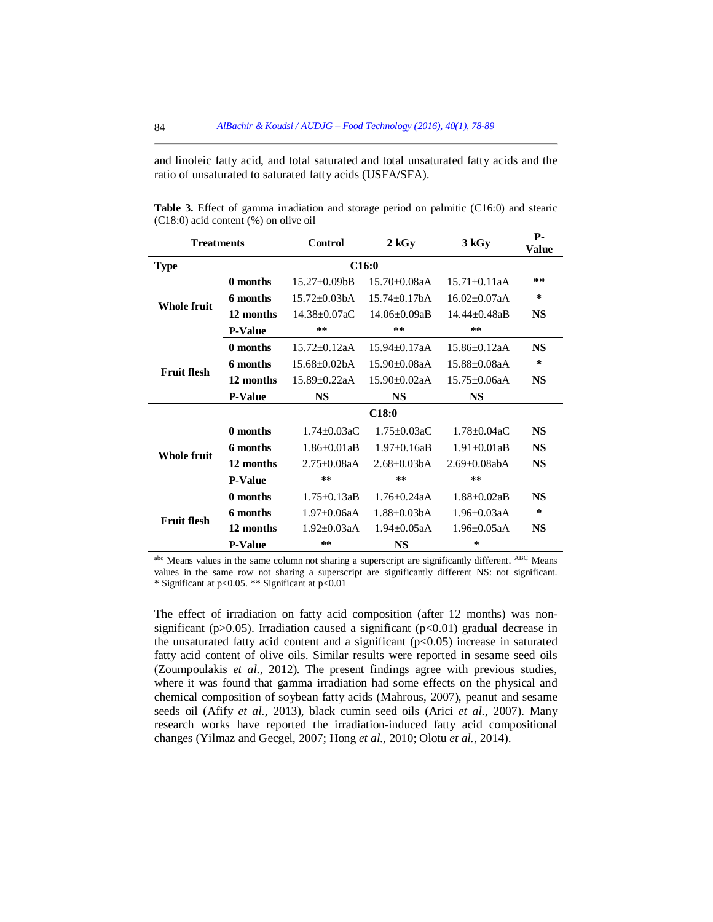and linoleic fatty acid, and total saturated and total unsaturated fatty acids and the ratio of unsaturated to saturated fatty acids (USFA/SFA).

| <b>Treatments</b>                |                | Control             | $2\,\mathrm{kGy}$   | 3 kGy               | <b>P</b> -<br><b>Value</b> |  |
|----------------------------------|----------------|---------------------|---------------------|---------------------|----------------------------|--|
| C <sub>16:0</sub><br><b>Type</b> |                |                     |                     |                     |                            |  |
| <b>Whole fruit</b>               | 0 months       | $15.27 + 0.09$ bB   | $15.70 + 0.08aA$    | $15.71 + 0.11aA$    | **                         |  |
|                                  | 6 months       | $15.72 + 0.03bA$    | $15.74 + 0.17hA$    | $16.02 + 0.07aA$    | $\ast$                     |  |
|                                  | 12 months      | 14.38±0.07aC        | $14.06 + 0.09aB$    | $14.44 + 0.48aB$    | <b>NS</b>                  |  |
|                                  | <b>P-Value</b> | **                  | **                  | **                  |                            |  |
| <b>Fruit flesh</b>               | 0 months       | $15.72 \pm 0.12$ aA | $15.94 + 0.17aA$    | $15.86 \pm 0.12$ aA | <b>NS</b>                  |  |
|                                  | 6 months       | $15.68 + 0.02bA$    | $15.90 + 0.08aA$    | $15.88 + 0.08aA$    | ∗                          |  |
|                                  | 12 months      | $15.89 \pm 0.22$ aA | $15.90 \pm 0.02$ aA | $15.75 \pm 0.06a$ A | <b>NS</b>                  |  |
|                                  | <b>P-Value</b> | <b>NS</b>           | <b>NS</b>           | <b>NS</b>           |                            |  |
|                                  |                | C18:0               |                     |                     |                            |  |
| Whole fruit                      | 0 months       | $1.74 + 0.03aC$     | $1.75 + 0.03aC$     | $1.78 + 0.04aC$     | <b>NS</b>                  |  |
|                                  | 6 months       | $1.86 + 0.01aB$     | $1.97 + 0.16aB$     | $1.91 + 0.01aB$     | <b>NS</b>                  |  |
|                                  | 12 months      | $2.75 + 0.08aA$     | $2.68 \pm 0.03$ bA  | $2.69 \pm 0.08$ abA | <b>NS</b>                  |  |
|                                  | <b>P-Value</b> | **                  | $**$                | **                  |                            |  |
|                                  | 0 months       | $1.75 + 0.13aB$     | $1.76 + 0.24aA$     | $1.88 + 0.02aB$     | <b>NS</b>                  |  |
| <b>Fruit flesh</b>               | 6 months       | $1.97 + 0.06aA$     | $1.88 + 0.03bA$     | $1.96 + 0.03aA$     | $\ast$                     |  |
|                                  | 12 months      | $1.92 \pm 0.03$ aA  | $1.94 \pm 0.05$ aA  | $1.96 \pm 0.05$ aA  | <b>NS</b>                  |  |
|                                  | <b>P-Value</b> | **                  | <b>NS</b>           | $\star$             |                            |  |

**Table 3.** Effect of gamma irradiation and storage period on palmitic (C16:0) and stearic (C18:0) acid content (%) on olive oil

abc Means values in the same column not sharing a superscript are significantly different. ABC Means values in the same row not sharing a superscript are significantly different NS: not significant. \* Significant at p<0.05. \*\* Significant at p<0.01

The effect of irradiation on fatty acid composition (after 12 months) was nonsignificant (p $>0.05$ ). Irradiation caused a significant (p $<0.01$ ) gradual decrease in the unsaturated fatty acid content and a significant  $(p<0.05)$  increase in saturated fatty acid content of olive oils. Similar results were reported in sesame seed oils (Zoumpoulakis *et al.*, 2012). The present findings agree with previous studies, where it was found that gamma irradiation had some effects on the physical and chemical composition of soybean fatty acids (Mahrous, 2007), peanut and sesame seeds oil (Afify *et al.*, 2013), black cumin seed oils (Arici *et al.*, 2007). Many research works have reported the irradiation-induced fatty acid compositional changes (Yilmaz and Gecgel, 2007; Hong *et al.*, 2010; Olotu *et al.,* 2014).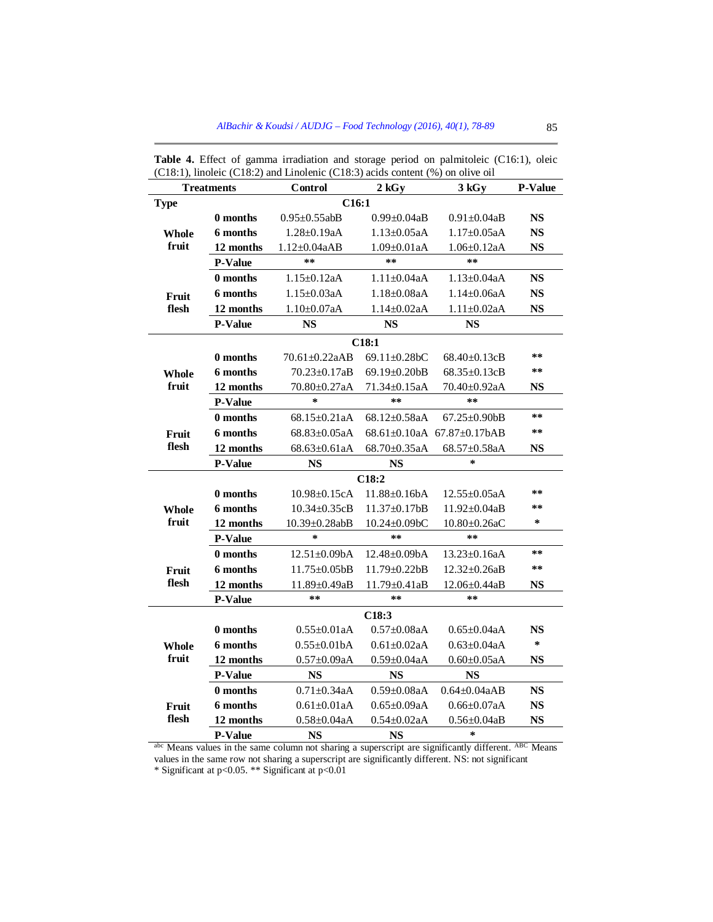| <b>Treatments</b>    |                   | Control              | $2\,\mathrm{kGy}$   | 3 kGy                                    | <b>P-Value</b> |  |  |
|----------------------|-------------------|----------------------|---------------------|------------------------------------------|----------------|--|--|
| C16:1<br><b>Type</b> |                   |                      |                     |                                          |                |  |  |
| Whole<br>fruit       | 0 months          | $0.95 \pm 0.55$ abB  | $0.99 \pm 0.04$ aB  | $0.91 \pm 0.04$ aB                       | <b>NS</b>      |  |  |
|                      | 6 months          | $1.28 \pm 0.19$ aA   | $1.13 \pm 0.05$ aA  | $1.17 \pm 0.05$ aA                       | <b>NS</b>      |  |  |
|                      | 12 months         | $1.12 \pm 0.04aAB$   | $1.09 \pm 0.01$ aA  | $1.06 \pm 0.12$ aA                       | <b>NS</b>      |  |  |
|                      | <b>P-Value</b>    | **                   | **                  | $* *$                                    |                |  |  |
|                      | 0 months          | $1.15 \pm 0.12$ aA   | $1.11 \pm 0.04$ aA  | $1.13 \pm 0.04$ aA                       | <b>NS</b>      |  |  |
| Fruit                | 6 months          | $1.15 + 0.03aA$      | $1.18 + 0.08aA$     | $1.14 + 0.06aA$                          | <b>NS</b>      |  |  |
| flesh                | 12 months         | $1.10 \pm 0.07$ aA   | $1.14 \pm 0.02$ aA  | $1.11 \pm 0.02$ aA                       | NS             |  |  |
|                      | <b>P-Value</b>    | NS                   | NS                  | <b>NS</b>                                |                |  |  |
|                      |                   |                      | C18:1               |                                          |                |  |  |
|                      | 0 months          | $70.61 \pm 0.22$ aAB | $69.11 \pm 0.28$ bC | $68.40\pm0.13cB$                         | $* *$          |  |  |
| Whole                | 6 months          | $70.23 \pm 0.17$ aB  | $69.19 \pm 0.20$ bB | $68.35 \pm 0.13$ cB                      | **             |  |  |
| fruit                | 12 months         | 70.80±0.27aA         | $71.34 \pm 0.15$ aA | 70.40±0.92aA                             | <b>NS</b>      |  |  |
|                      | <b>P-Value</b>    | $\ast$               | $**$                | **                                       |                |  |  |
|                      | 0 months          | $68.15 \pm 0.21$ aA  | $68.12 + 0.58aA$    | $67.25 \pm 0.90$ bB                      | **             |  |  |
| Fruit                | 6 months          | $68.83 \pm 0.05$ aA  |                     | $68.61 \pm 0.10$ aA $67.87 \pm 0.17$ bAB | $* *$          |  |  |
| flesh                | 12 months         | $68.63 \pm 0.61$ aA  | 68.70±0.35aA        | 68.57±0.58aA                             | <b>NS</b>      |  |  |
|                      | P-Value           | <b>NS</b>            | <b>NS</b>           | $\ast$                                   |                |  |  |
| C18:2                |                   |                      |                     |                                          |                |  |  |
|                      | 0 months          | $10.98 \pm 0.15cA$   | $11.88 \pm 0.16bA$  | $12.55 \pm 0.05aA$                       | **             |  |  |
| Whole<br>fruit       | 6 months          | $10.34 + 0.35cB$     | $11.37 \pm 0.17$ bB | $11.92 \pm 0.04$ aB                      | $* *$          |  |  |
|                      | 12 months         | $10.39 \pm 0.28$ abB | $10.24 \pm 0.09$ bC | $10.80 \pm 0.26$ aC                      | $\ast$         |  |  |
|                      | P-Value           | $\star$              | **                  | $* *$                                    |                |  |  |
|                      | 0 months          | $12.51 \pm 0.09$ bA  | $12.48 \pm 0.09$ bA | $13.23 \pm 0.16$ aA                      | **             |  |  |
| Fruit<br>flesh       | 6 months          | $11.75 \pm 0.05$ bB  | $11.79 \pm 0.22$ bB | $12.32 \pm 0.26$ aB                      | $* *$          |  |  |
|                      | 12 months         | 11.89±0.49aB         | 11.79±0.41aB        | 12.06±0.44aB                             | <b>NS</b>      |  |  |
|                      | <b>P-Value</b>    | $* *$                | **                  | $* *$                                    |                |  |  |
|                      | C <sub>18:3</sub> |                      |                     |                                          |                |  |  |
|                      | 0 months          | $0.55 \pm 0.01$ aA   | $0.57 + 0.08aA$     | $0.65 \pm 0.04aA$                        | <b>NS</b>      |  |  |
| Whole<br>fruit       | 6 months          | $0.55 \pm 0.01$ bA   | $0.61 + 0.02aA$     | $0.63 \pm 0.04aA$                        | $\star$        |  |  |
|                      | 12 months         | $0.57 \pm 0.09aA$    | $0.59 \pm 0.04$ aA  | $0.60 \pm 0.05$ aA                       | <b>NS</b>      |  |  |
|                      | P-Value           | <b>NS</b>            | <b>NS</b>           | <b>NS</b>                                |                |  |  |
|                      | 0 months          | $0.71 \pm 0.34$ aA   | $0.59 \pm 0.08$ aA  | $0.64 \pm 0.04$ aAB                      | <b>NS</b>      |  |  |
| Fruit<br>flesh       | 6 months          | $0.61 \pm 0.01$ aA   | $0.65 \pm 0.09aA$   | $0.66 \pm 0.07aA$                        | <b>NS</b>      |  |  |
|                      | 12 months         | $0.58 \pm 0.04$ aA   | $0.54 \pm 0.02$ aA  | $0.56 \pm 0.04$ aB                       | <b>NS</b>      |  |  |
|                      | <b>P-Value</b>    | <b>NS</b>            | <b>NS</b>           | $\ast$                                   |                |  |  |

**Table 4.** Effect of gamma irradiation and storage period on palmitoleic (C16:1), oleic (C18:1), linoleic (C18:2) and Linolenic (C18:3) acids content (%) on olive oil

abc Means values in the same column not sharing a superscript are significantly different. ABC Means values in the same row not sharing a superscript are significantly different. NS: not significant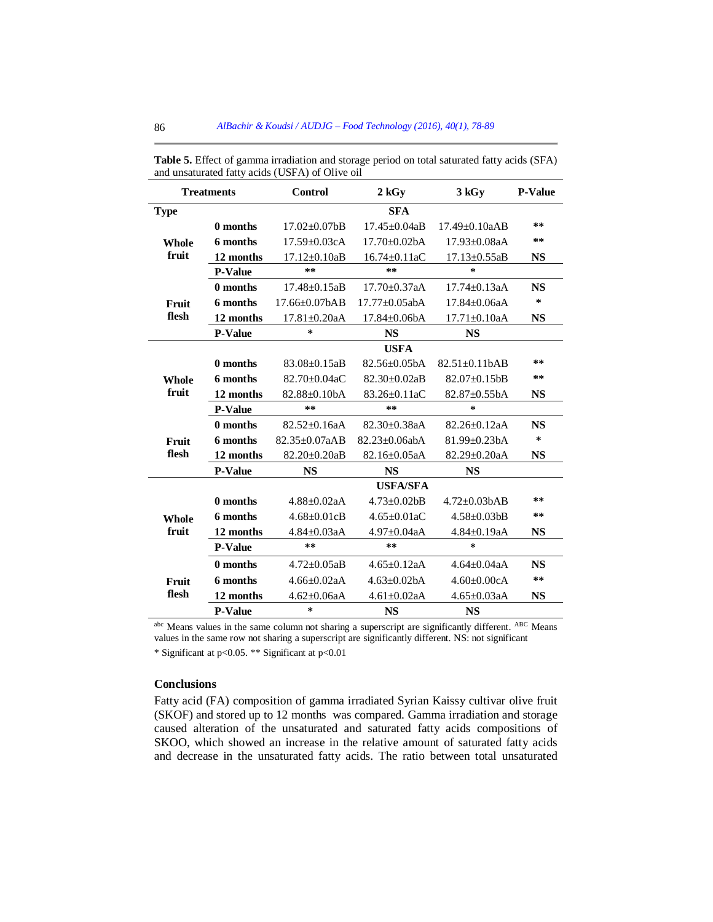| <b>Treatments</b>     |                 | <b>Control</b>       | $2$ kGv                      | 3 kGv                | <b>P-Value</b> |  |
|-----------------------|-----------------|----------------------|------------------------------|----------------------|----------------|--|
| <b>Type</b>           |                 |                      | <b>SFA</b>                   |                      |                |  |
| <b>Whole</b>          | 0 months        | $17.02 \pm 0.07$ bB  | $17.45 + 0.04aB$             | $17.49 + 0.10aAB$    | **             |  |
|                       | 6 months        | $17.59 + 0.03cA$     | $17.70 + 0.02h$ A            | $17.93 + 0.08aA$     | **             |  |
| fruit                 | 12 months       | $17.12 \pm 0.10$ aB  | $16.74 \pm 0.11$ aC          | $17.13 \pm 0.55$ aB  | <b>NS</b>      |  |
|                       | <b>P-Value</b>  | **                   | **                           | $\star$              |                |  |
|                       | 0 months        | $17.48 + 0.15aB$     | $17.70 + 0.37aA$             | $17.74 + 0.13aA$     | <b>NS</b>      |  |
| Fruit                 | 6 months        | $17.66 \pm 0.07$ bAB | $17.77 + 0.05$ abA           | $17.84 + 0.06aA$     | $\ast$         |  |
| flesh                 | 12 months       | $17.81 \pm 0.20$ aA  | $17.84 \pm 0.06$ bA          | $17.71 \pm 0.10$ aA  | <b>NS</b>      |  |
|                       | <b>P-Value</b>  | $\ast$               | <b>NS</b>                    | <b>NS</b>            |                |  |
|                       |                 |                      | <b>USFA</b>                  |                      |                |  |
|                       | 0 months        | $83.08 \pm 0.15$ aB  | $82.56 + 0.05hA$             | $82.51 \pm 0.11$ bAB | **             |  |
| Whole<br>fruit        | 6 months        | $82.70 + 0.04aC$     | $82.30 + 0.02aB$             | 82.07±0.15bB         | **             |  |
|                       | 12 months       | 82.88±0.10bA         | 83.26±0.11aC                 | 82.87±0.55bA         | <b>NS</b>      |  |
|                       | <b>P-Value</b>  | **                   | **                           | $\star$              |                |  |
| Fruit<br>flesh        | 0 months        | $82.52 + 0.16aA$     | $82.30 + 0.38aA$             | $82.26 + 0.12a$ A    | <b>NS</b>      |  |
|                       | 6 months        | $82.35 + 0.07aAB$    | $82.23 + 0.06$ abA           | $81.99 + 0.23hA$     | $\ast$         |  |
|                       | 12 months       | $82.20 \pm 0.20$ aB  | $82.16 \pm 0.05$ aA          | $82.29 \pm 0.20$ aA  | <b>NS</b>      |  |
|                       | <b>P-Value</b>  | <b>NS</b>            | <b>NS</b>                    | <b>NS</b>            |                |  |
|                       | <b>USFA/SFA</b> |                      |                              |                      |                |  |
| <b>Whole</b><br>fruit | 0 months        | $4.88 + 0.02aA$      | $4.73 + 0.02$ <sub>b</sub> B | $4.72 \pm 0.03$ bAB  | **             |  |
|                       | 6 months        | $4.68 + 0.01$ cB     | $4.65 \pm 0.01$ aC           | $4.58 \pm 0.03$ bB   | **             |  |
|                       | 12 months       | $4.84 \pm 0.03$ aA   | $4.97 \pm 0.04$ aA           | $4.84 \pm 0.19$ aA   | <b>NS</b>      |  |
|                       | <b>P-Value</b>  | **                   | **                           | $\ast$               |                |  |
| Fruit<br>flesh        | 0 months        | $4.72 + 0.05aB$      | $4.65 + 0.12aA$              | $4.64 + 0.04aA$      | <b>NS</b>      |  |
|                       | 6 months        | $4.66 + 0.02aA$      | $4.63 + 0.02hA$              | $4.60 \pm 0.00c$ A   | **             |  |
|                       | 12 months       | $4.62 + 0.06aA$      | $4.61 + 0.02aA$              | $4.65 \pm 0.03$ aA   | <b>NS</b>      |  |
|                       | <b>P-Value</b>  | $\ast$               | <b>NS</b>                    | <b>NS</b>            |                |  |

**Table 5.** Effect of gamma irradiation and storage period on total saturated fatty acids (SFA) and unsaturated fatty acids (USFA) of Olive oil

abc Means values in the same column not sharing a superscript are significantly different. ABC Means values in the same row not sharing a superscript are significantly different. NS: not significant

\* Significant at p<0.05. \*\* Significant at p<0.01

# **Conclusions**

Fatty acid (FA) composition of gamma irradiated Syrian Kaissy cultivar olive fruit (SKOF) and stored up to 12 months was compared. Gamma irradiation and storage caused alteration of the unsaturated and saturated fatty acids compositions of SKOO, which showed an increase in the relative amount of saturated fatty acids and decrease in the unsaturated fatty acids. The ratio between total unsaturated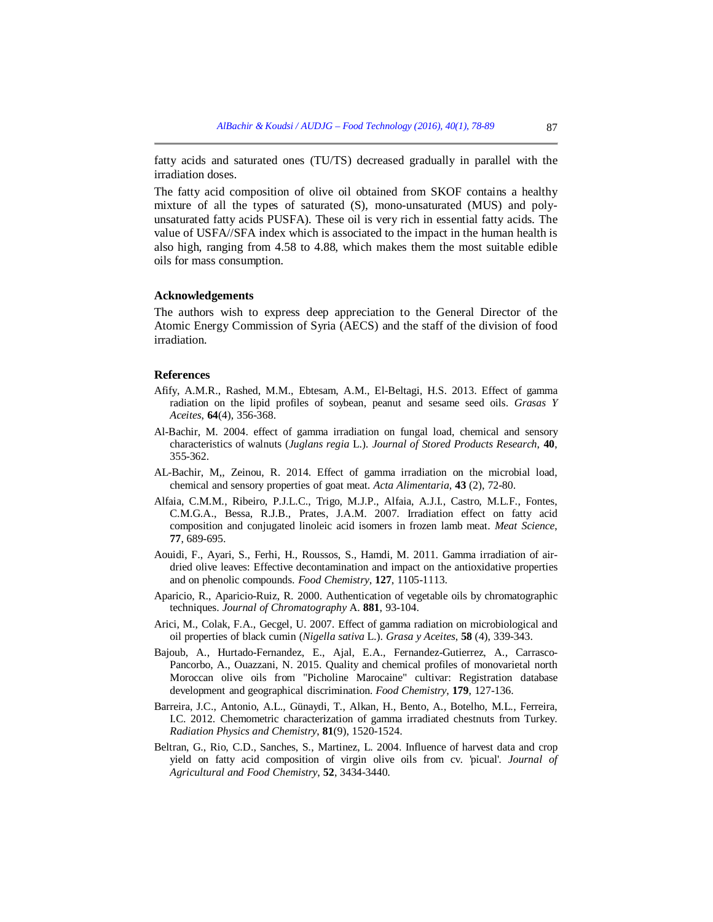fatty acids and saturated ones (TU/TS) decreased gradually in parallel with the irradiation doses.

The fatty acid composition of olive oil obtained from SKOF contains a healthy mixture of all the types of saturated (S), mono-unsaturated (MUS) and polyunsaturated fatty acids PUSFA). These oil is very rich in essential fatty acids. The value of USFA//SFA index which is associated to the impact in the human health is also high, ranging from 4.58 to 4.88, which makes them the most suitable edible oils for mass consumption.

### **Acknowledgements**

The authors wish to express deep appreciation to the General Director of the Atomic Energy Commission of Syria (AECS) and the staff of the division of food irradiation.

### **References**

- Afify, A.M.R., Rashed, M.M., Ebtesam, A.M., El-Beltagi, H.S. 2013. Effect of gamma radiation on the lipid profiles of soybean, peanut and sesame seed oils. *Grasas Y Aceites*, **64**(4), 356-368.
- Al-Bachir, M. 2004. effect of gamma irradiation on fungal load, chemical and sensory characteristics of walnuts (*Juglans regia* L.). *Journal of Stored Products Research*, **40**, 355-362.
- AL-Bachir, M,, Zeinou, R. 2014. Effect of gamma irradiation on the microbial load, chemical and sensory properties of goat meat. *Acta Alimentaria*, **43** (2), 72-80.
- Alfaia, C.M.M., Ribeiro, P.J.L.C., Trigo, M.J.P., Alfaia, A.J.I., Castro, M.L.F., Fontes, C.M.G.A., Bessa, R.J.B., Prates, J.A.M. 2007. Irradiation effect on fatty acid composition and conjugated linoleic acid isomers in frozen lamb meat. *Meat Science*, **77**, 689-695.
- Aouidi, F., Ayari, S., Ferhi, H., Roussos, S., Hamdi, M. 2011. Gamma irradiation of airdried olive leaves: Effective decontamination and impact on the antioxidative properties and on phenolic compounds. *Food Chemistry*, **127**, 1105-1113.
- Aparicio, R., Aparicio-Ruiz, R. 2000. Authentication of vegetable oils by chromatographic techniques. *Journal of Chromatography* A. **881**, 93-104.
- Arici, M., Colak, F.A., Gecgel, U. 2007. Effect of gamma radiation on microbiological and oil properties of black cumin (*Nigella sativa* L.). *Grasa y Aceites*, **58** (4), 339-343.
- Bajoub, A., Hurtado-Fernandez, E., Ajal, E.A., Fernandez-Gutierrez, A., Carrasco-Pancorbo, A., Ouazzani, N. 2015. Quality and chemical profiles of monovarietal north Moroccan olive oils from "Picholine Marocaine" cultivar: Registration database development and geographical discrimination. *Food Chemistry*, **179**, 127-136.
- Barreira, J.C., Antonio, A.L., Günaydi, T., Alkan, H., Bento, A., Botelho, M.L., Ferreira, I.C. 2012. Chemometric characterization of gamma irradiated chestnuts from Turkey. *Radiation Physics and Chemistry*, **81**(9), 1520-1524.
- Beltran, G., Rio, C.D., Sanches, S., Martinez, L. 2004. Influence of harvest data and crop yield on fatty acid composition of virgin olive oils from cv. 'picual'. *Journal of Agricultural and Food Chemistry*, **52**, 3434-3440.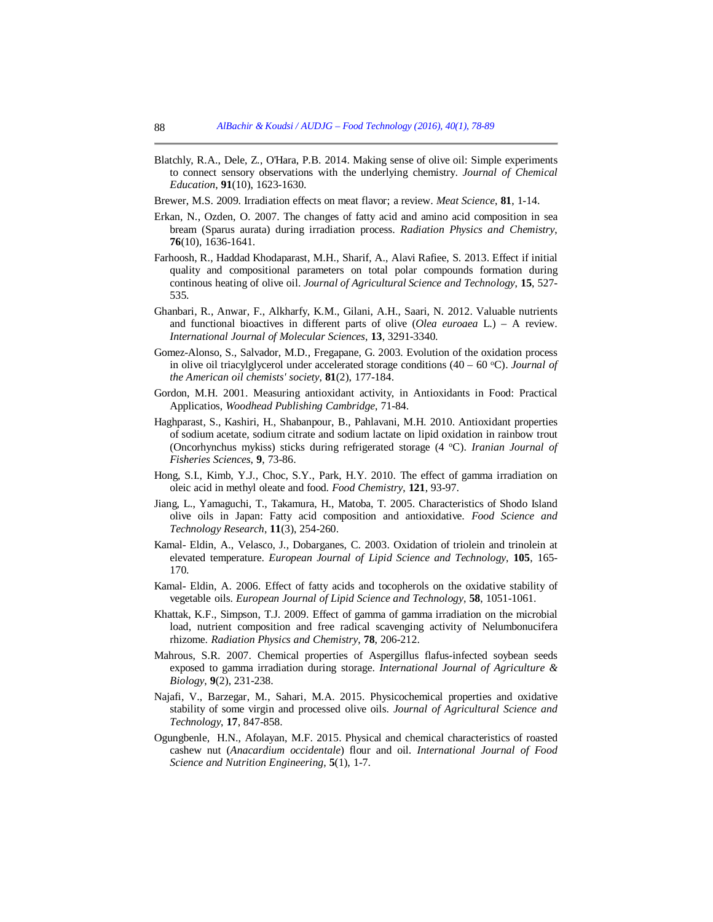- Blatchly, R.A., Dele, Z., O'Hara, P.B. 2014. Making sense of olive oil: Simple experiments to connect sensory observations with the underlying chemistry. *Journal of Chemical Education*, **91**(10), 1623-1630.
- Brewer, M.S. 2009. Irradiation effects on meat flavor; a review. *Meat Science*, **81**, 1-14.
- Erkan, N., Ozden, O. 2007. The changes of fatty acid and amino acid composition in sea bream (Sparus aurata) during irradiation process. *Radiation Physics and Chemistry*, **76**(10), 1636-1641.
- Farhoosh, R., Haddad Khodaparast, M.H., Sharif, A., Alavi Rafiee, S. 2013. Effect if initial quality and compositional parameters on total polar compounds formation during continous heating of olive oil. *Journal of Agricultural Science and Technology*, **15**, 527- 535.
- Ghanbari, R., Anwar, F., Alkharfy, K.M., Gilani, A.H., Saari, N. 2012. Valuable nutrients and functional bioactives in different parts of olive (*Olea euroaea* L.) – A review. *International Journal of Molecular Sciences*, **13**, 3291-3340.
- Gomez-Alonso, S., Salvador, M.D., Fregapane, G. 2003. Evolution of the oxidation process in olive oil triacylglycerol under accelerated storage conditions  $(40 - 60 \degree C)$ . *Journal of the American oil chemists' society*, **81**(2), 177-184.
- Gordon, M.H. 2001. Measuring antioxidant activity, in Antioxidants in Food: Practical Applicatios, *Woodhead Publishing Cambridge*, 71-84.
- Haghparast, S., Kashiri, H., Shabanpour, B., Pahlavani, M.H. 2010. Antioxidant properties of sodium acetate, sodium citrate and sodium lactate on lipid oxidation in rainbow trout (Oncorhynchus mykiss) sticks during refrigerated storage (4 <sup>o</sup>C). *Iranian Journal of Fisheries Sciences*, **9**, 73-86.
- Hong, S.I., Kimb, Y.J., Choc, S.Y., Park, H.Y. 2010. The effect of gamma irradiation on oleic acid in methyl oleate and food. *Food Chemistry*, **121**, 93-97.
- Jiang, L., Yamaguchi, T., Takamura, H., Matoba, T. 2005. Characteristics of Shodo Island olive oils in Japan: Fatty acid composition and antioxidative. *Food Science and Technology Research*, **11**(3), 254-260.
- Kamal- Eldin, A., Velasco, J., Dobarganes, C. 2003. Oxidation of triolein and trinolein at elevated temperature. *European Journal of Lipid Science and Technology*, **105**, 165- 170.
- Kamal- Eldin, A. 2006. Effect of fatty acids and tocopherols on the oxidative stability of vegetable oils. *European Journal of Lipid Science and Technology*, **58**, 1051-1061.
- Khattak, K.F., Simpson, T.J. 2009. Effect of gamma of gamma irradiation on the microbial load, nutrient composition and free radical scavenging activity of Nelumbonucifera rhizome. *Radiation Physics and Chemistry*, **78**, 206-212.
- Mahrous, S.R. 2007. Chemical properties of Aspergillus flafus-infected soybean seeds exposed to gamma irradiation during storage. *International Journal of Agriculture & Biology*, **9**(2), 231-238.
- Najafi, V., Barzegar, M., Sahari, M.A. 2015. Physicochemical properties and oxidative stability of some virgin and processed olive oils. *Journal of Agricultural Science and Technology*, **17**, 847-858.
- Ogungbenle, H.N., Afolayan, M.F. 2015. Physical and chemical characteristics of roasted cashew nut (*Anacardium occidentale*) flour and oil. *International Journal of Food Science and Nutrition Engineering*, **5**(1), 1-7.